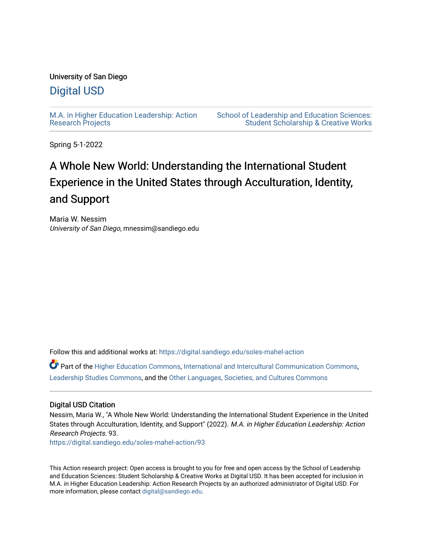# University of San Diego

# [Digital USD](https://digital.sandiego.edu/)

[M.A. in Higher Education Leadership: Action](https://digital.sandiego.edu/soles-mahel-action) [Research Projects](https://digital.sandiego.edu/soles-mahel-action) 

[School of Leadership and Education Sciences:](https://digital.sandiego.edu/soles-student)  [Student Scholarship & Creative Works](https://digital.sandiego.edu/soles-student) 

Spring 5-1-2022

# A Whole New World: Understanding the International Student Experience in the United States through Acculturation, Identity, and Support

Maria W. Nessim University of San Diego, mnessim@sandiego.edu

Follow this and additional works at: [https://digital.sandiego.edu/soles-mahel-action](https://digital.sandiego.edu/soles-mahel-action?utm_source=digital.sandiego.edu%2Fsoles-mahel-action%2F93&utm_medium=PDF&utm_campaign=PDFCoverPages)

Part of the [Higher Education Commons,](http://network.bepress.com/hgg/discipline/1245?utm_source=digital.sandiego.edu%2Fsoles-mahel-action%2F93&utm_medium=PDF&utm_campaign=PDFCoverPages) [International and Intercultural Communication Commons,](http://network.bepress.com/hgg/discipline/331?utm_source=digital.sandiego.edu%2Fsoles-mahel-action%2F93&utm_medium=PDF&utm_campaign=PDFCoverPages) [Leadership Studies Commons](http://network.bepress.com/hgg/discipline/1250?utm_source=digital.sandiego.edu%2Fsoles-mahel-action%2F93&utm_medium=PDF&utm_campaign=PDFCoverPages), and the [Other Languages, Societies, and Cultures Commons](http://network.bepress.com/hgg/discipline/475?utm_source=digital.sandiego.edu%2Fsoles-mahel-action%2F93&utm_medium=PDF&utm_campaign=PDFCoverPages) 

#### Digital USD Citation

Nessim, Maria W., "A Whole New World: Understanding the International Student Experience in the United States through Acculturation, Identity, and Support" (2022). M.A. in Higher Education Leadership: Action Research Projects. 93.

[https://digital.sandiego.edu/soles-mahel-action/93](https://digital.sandiego.edu/soles-mahel-action/93?utm_source=digital.sandiego.edu%2Fsoles-mahel-action%2F93&utm_medium=PDF&utm_campaign=PDFCoverPages) 

This Action research project: Open access is brought to you for free and open access by the School of Leadership and Education Sciences: Student Scholarship & Creative Works at Digital USD. It has been accepted for inclusion in M.A. in Higher Education Leadership: Action Research Projects by an authorized administrator of Digital USD. For more information, please contact [digital@sandiego.edu.](mailto:digital@sandiego.edu)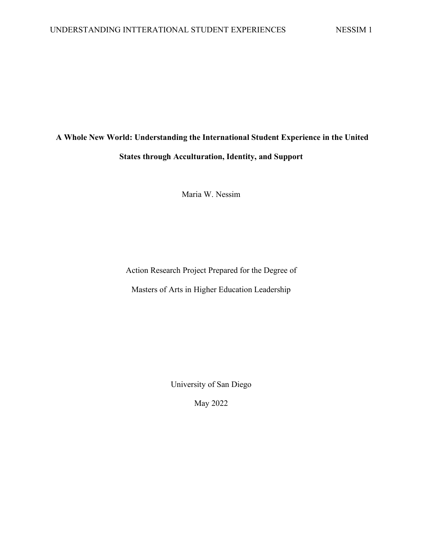# **A Whole New World: Understanding the International Student Experience in the United States through Acculturation, Identity, and Support**

Maria W. Nessim

Action Research Project Prepared for the Degree of

Masters of Arts in Higher Education Leadership

University of San Diego

May 2022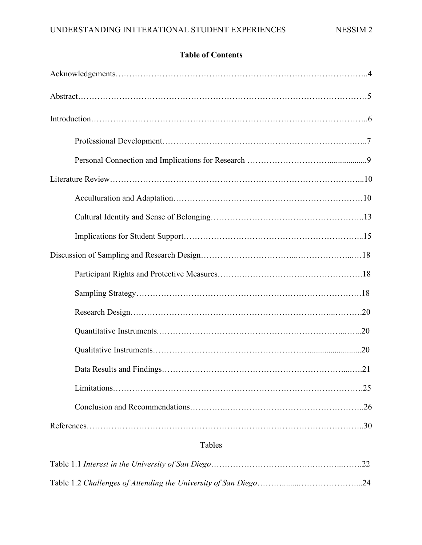# **Table of Contents**

| .25 |
|-----|
|     |
| 30  |
|     |

#### Tables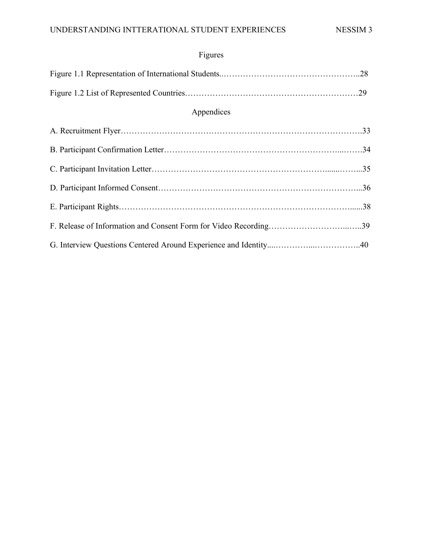# Figures

| Appendices                                                       |  |
|------------------------------------------------------------------|--|
|                                                                  |  |
|                                                                  |  |
|                                                                  |  |
|                                                                  |  |
|                                                                  |  |
| F. Release of Information and Consent Form for Video Recording39 |  |
|                                                                  |  |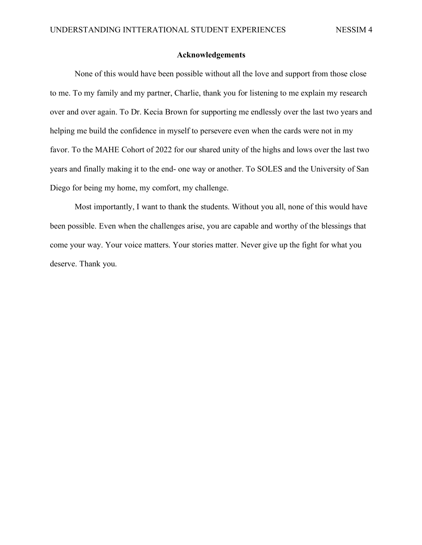#### **Acknowledgements**

None of this would have been possible without all the love and support from those close to me. To my family and my partner, Charlie, thank you for listening to me explain my research over and over again. To Dr. Kecia Brown for supporting me endlessly over the last two years and helping me build the confidence in myself to persevere even when the cards were not in my favor. To the MAHE Cohort of 2022 for our shared unity of the highs and lows over the last two years and finally making it to the end- one way or another. To SOLES and the University of San Diego for being my home, my comfort, my challenge.

Most importantly, I want to thank the students. Without you all, none of this would have been possible. Even when the challenges arise, you are capable and worthy of the blessings that come your way. Your voice matters. Your stories matter. Never give up the fight for what you deserve. Thank you.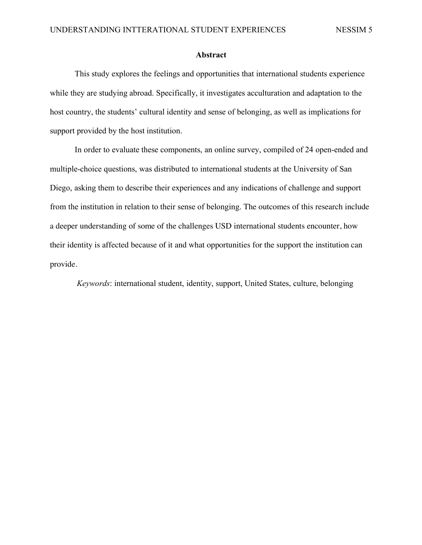#### **Abstract**

This study explores the feelings and opportunities that international students experience while they are studying abroad. Specifically, it investigates acculturation and adaptation to the host country, the students' cultural identity and sense of belonging, as well as implications for support provided by the host institution.

In order to evaluate these components, an online survey, compiled of 24 open-ended and multiple-choice questions, was distributed to international students at the University of San Diego, asking them to describe their experiences and any indications of challenge and support from the institution in relation to their sense of belonging. The outcomes of this research include a deeper understanding of some of the challenges USD international students encounter, how their identity is affected because of it and what opportunities for the support the institution can provide.

*Keywords*: international student, identity, support, United States, culture, belonging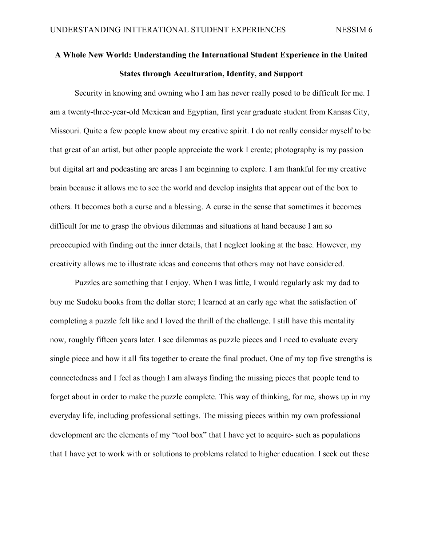# **A Whole New World: Understanding the International Student Experience in the United States through Acculturation, Identity, and Support**

Security in knowing and owning who I am has never really posed to be difficult for me. I am a twenty-three-year-old Mexican and Egyptian, first year graduate student from Kansas City, Missouri. Quite a few people know about my creative spirit. I do not really consider myself to be that great of an artist, but other people appreciate the work I create; photography is my passion but digital art and podcasting are areas I am beginning to explore. I am thankful for my creative brain because it allows me to see the world and develop insights that appear out of the box to others. It becomes both a curse and a blessing. A curse in the sense that sometimes it becomes difficult for me to grasp the obvious dilemmas and situations at hand because I am so preoccupied with finding out the inner details, that I neglect looking at the base. However, my creativity allows me to illustrate ideas and concerns that others may not have considered.

Puzzles are something that I enjoy. When I was little, I would regularly ask my dad to buy me Sudoku books from the dollar store; I learned at an early age what the satisfaction of completing a puzzle felt like and I loved the thrill of the challenge. I still have this mentality now, roughly fifteen years later. I see dilemmas as puzzle pieces and I need to evaluate every single piece and how it all fits together to create the final product. One of my top five strengths is connectedness and I feel as though I am always finding the missing pieces that people tend to forget about in order to make the puzzle complete. This way of thinking, for me, shows up in my everyday life, including professional settings. The missing pieces within my own professional development are the elements of my "tool box" that I have yet to acquire- such as populations that I have yet to work with or solutions to problems related to higher education. I seek out these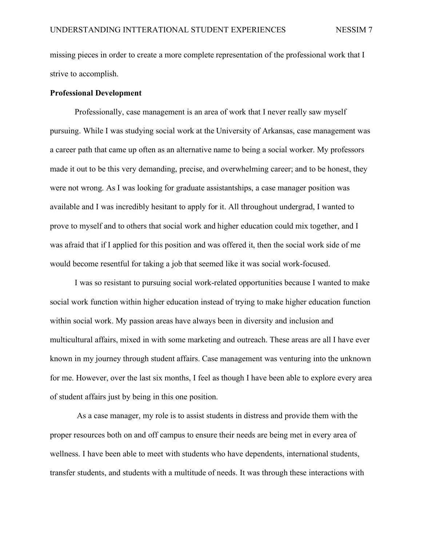missing pieces in order to create a more complete representation of the professional work that I strive to accomplish.

#### **Professional Development**

Professionally, case management is an area of work that I never really saw myself pursuing. While I was studying social work at the University of Arkansas, case management was a career path that came up often as an alternative name to being a social worker. My professors made it out to be this very demanding, precise, and overwhelming career; and to be honest, they were not wrong. As I was looking for graduate assistantships, a case manager position was available and I was incredibly hesitant to apply for it. All throughout undergrad, I wanted to prove to myself and to others that social work and higher education could mix together, and I was afraid that if I applied for this position and was offered it, then the social work side of me would become resentful for taking a job that seemed like it was social work-focused.

I was so resistant to pursuing social work-related opportunities because I wanted to make social work function within higher education instead of trying to make higher education function within social work. My passion areas have always been in diversity and inclusion and multicultural affairs, mixed in with some marketing and outreach. These areas are all I have ever known in my journey through student affairs. Case management was venturing into the unknown for me. However, over the last six months, I feel as though I have been able to explore every area of student affairs just by being in this one position.

As a case manager, my role is to assist students in distress and provide them with the proper resources both on and off campus to ensure their needs are being met in every area of wellness. I have been able to meet with students who have dependents, international students, transfer students, and students with a multitude of needs. It was through these interactions with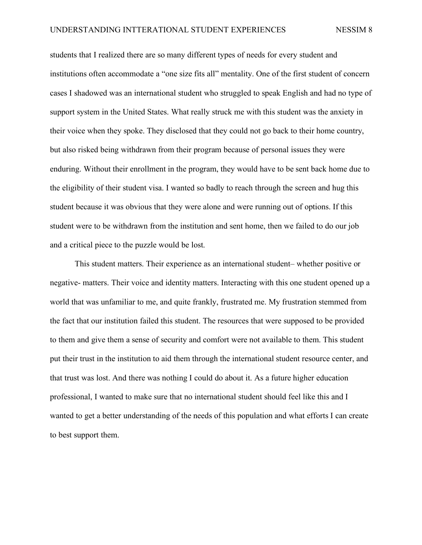students that I realized there are so many different types of needs for every student and institutions often accommodate a "one size fits all" mentality. One of the first student of concern cases I shadowed was an international student who struggled to speak English and had no type of support system in the United States. What really struck me with this student was the anxiety in their voice when they spoke. They disclosed that they could not go back to their home country, but also risked being withdrawn from their program because of personal issues they were enduring. Without their enrollment in the program, they would have to be sent back home due to the eligibility of their student visa. I wanted so badly to reach through the screen and hug this student because it was obvious that they were alone and were running out of options. If this student were to be withdrawn from the institution and sent home, then we failed to do our job and a critical piece to the puzzle would be lost.

This student matters. Their experience as an international student– whether positive or negative- matters. Their voice and identity matters. Interacting with this one student opened up a world that was unfamiliar to me, and quite frankly, frustrated me. My frustration stemmed from the fact that our institution failed this student. The resources that were supposed to be provided to them and give them a sense of security and comfort were not available to them. This student put their trust in the institution to aid them through the international student resource center, and that trust was lost. And there was nothing I could do about it. As a future higher education professional, I wanted to make sure that no international student should feel like this and I wanted to get a better understanding of the needs of this population and what efforts I can create to best support them.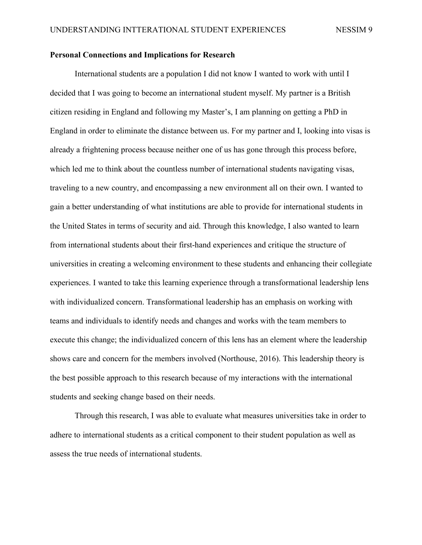#### **Personal Connections and Implications for Research**

International students are a population I did not know I wanted to work with until I decided that I was going to become an international student myself. My partner is a British citizen residing in England and following my Master's, I am planning on getting a PhD in England in order to eliminate the distance between us. For my partner and I, looking into visas is already a frightening process because neither one of us has gone through this process before, which led me to think about the countless number of international students navigating visas, traveling to a new country, and encompassing a new environment all on their own. I wanted to gain a better understanding of what institutions are able to provide for international students in the United States in terms of security and aid. Through this knowledge, I also wanted to learn from international students about their first-hand experiences and critique the structure of universities in creating a welcoming environment to these students and enhancing their collegiate experiences. I wanted to take this learning experience through a transformational leadership lens with individualized concern. Transformational leadership has an emphasis on working with teams and individuals to identify needs and changes and works with the team members to execute this change; the individualized concern of this lens has an element where the leadership shows care and concern for the members involved (Northouse, 2016). This leadership theory is the best possible approach to this research because of my interactions with the international students and seeking change based on their needs.

Through this research, I was able to evaluate what measures universities take in order to adhere to international students as a critical component to their student population as well as assess the true needs of international students.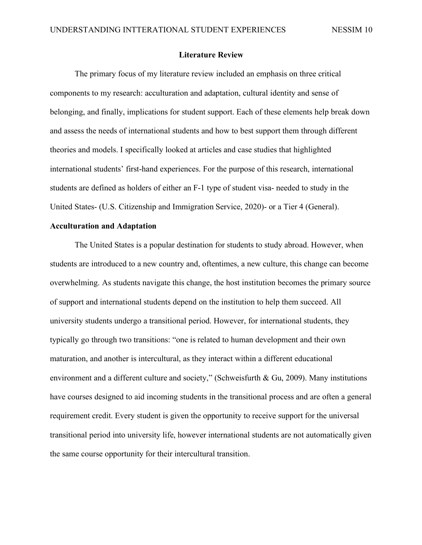#### **Literature Review**

The primary focus of my literature review included an emphasis on three critical components to my research: acculturation and adaptation, cultural identity and sense of belonging, and finally, implications for student support. Each of these elements help break down and assess the needs of international students and how to best support them through different theories and models. I specifically looked at articles and case studies that highlighted international students' first-hand experiences. For the purpose of this research, international students are defined as holders of either an F-1 type of student visa- needed to study in the United States- (U.S. Citizenship and Immigration Service, 2020)- or a Tier 4 (General).

#### **Acculturation and Adaptation**

The United States is a popular destination for students to study abroad. However, when students are introduced to a new country and, oftentimes, a new culture, this change can become overwhelming. As students navigate this change, the host institution becomes the primary source of support and international students depend on the institution to help them succeed. All university students undergo a transitional period. However, for international students, they typically go through two transitions: "one is related to human development and their own maturation, and another is intercultural, as they interact within a different educational environment and a different culture and society," (Schweisfurth & Gu, 2009). Many institutions have courses designed to aid incoming students in the transitional process and are often a general requirement credit. Every student is given the opportunity to receive support for the universal transitional period into university life, however international students are not automatically given the same course opportunity for their intercultural transition.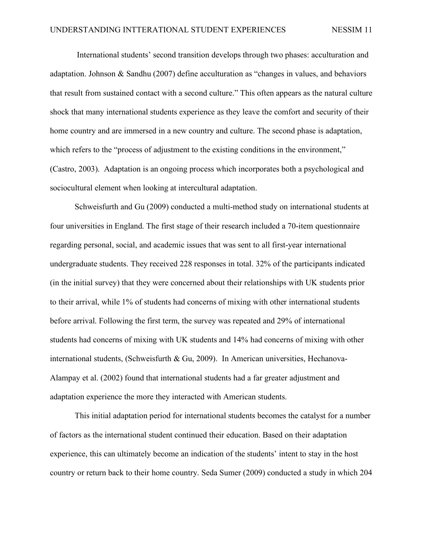International students' second transition develops through two phases: acculturation and adaptation. Johnson & Sandhu (2007) define acculturation as "changes in values, and behaviors that result from sustained contact with a second culture." This often appears as the natural culture shock that many international students experience as they leave the comfort and security of their home country and are immersed in a new country and culture. The second phase is adaptation, which refers to the "process of adjustment to the existing conditions in the environment," (Castro, 2003). Adaptation is an ongoing process which incorporates both a psychological and sociocultural element when looking at intercultural adaptation.

Schweisfurth and Gu (2009) conducted a multi-method study on international students at four universities in England. The first stage of their research included a 70-item questionnaire regarding personal, social, and academic issues that was sent to all first-year international undergraduate students. They received 228 responses in total. 32% of the participants indicated (in the initial survey) that they were concerned about their relationships with UK students prior to their arrival, while 1% of students had concerns of mixing with other international students before arrival. Following the first term, the survey was repeated and 29% of international students had concerns of mixing with UK students and 14% had concerns of mixing with other international students, (Schweisfurth & Gu, 2009). In American universities, Hechanova-Alampay et al. (2002) found that international students had a far greater adjustment and adaptation experience the more they interacted with American students.

This initial adaptation period for international students becomes the catalyst for a number of factors as the international student continued their education. Based on their adaptation experience, this can ultimately become an indication of the students' intent to stay in the host country or return back to their home country. Seda Sumer (2009) conducted a study in which 204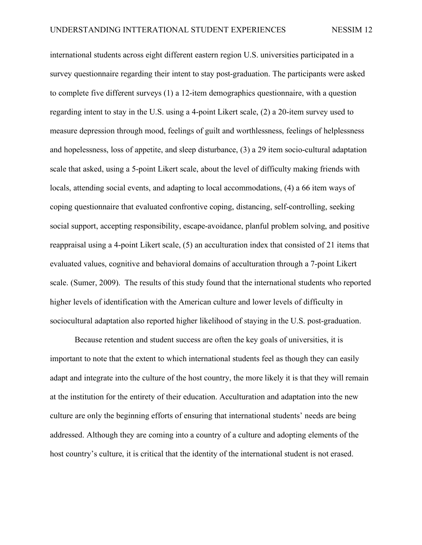international students across eight different eastern region U.S. universities participated in a survey questionnaire regarding their intent to stay post-graduation. The participants were asked to complete five different surveys (1) a 12-item demographics questionnaire, with a question regarding intent to stay in the U.S. using a 4-point Likert scale, (2) a 20-item survey used to measure depression through mood, feelings of guilt and worthlessness, feelings of helplessness and hopelessness, loss of appetite, and sleep disturbance, (3) a 29 item socio-cultural adaptation scale that asked, using a 5-point Likert scale, about the level of difficulty making friends with locals, attending social events, and adapting to local accommodations, (4) a 66 item ways of coping questionnaire that evaluated confrontive coping, distancing, self-controlling, seeking social support, accepting responsibility, escape-avoidance, planful problem solving, and positive reappraisal using a 4-point Likert scale, (5) an acculturation index that consisted of 21 items that evaluated values, cognitive and behavioral domains of acculturation through a 7-point Likert scale. (Sumer, 2009). The results of this study found that the international students who reported higher levels of identification with the American culture and lower levels of difficulty in sociocultural adaptation also reported higher likelihood of staying in the U.S. post-graduation.

Because retention and student success are often the key goals of universities, it is important to note that the extent to which international students feel as though they can easily adapt and integrate into the culture of the host country, the more likely it is that they will remain at the institution for the entirety of their education. Acculturation and adaptation into the new culture are only the beginning efforts of ensuring that international students' needs are being addressed. Although they are coming into a country of a culture and adopting elements of the host country's culture, it is critical that the identity of the international student is not erased.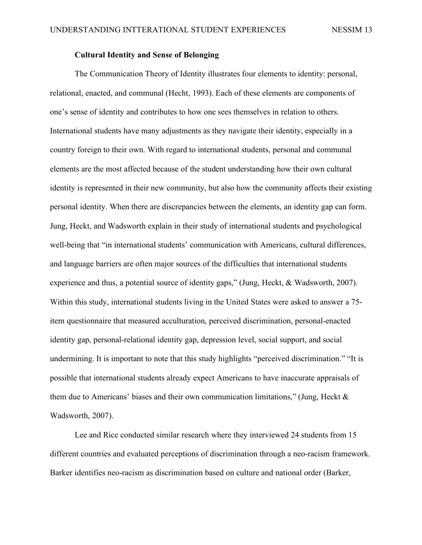#### **Cultural Identity and Sense of Belonging**

The Communication Theory of Identity illustrates four elements to identity: personal, relational, enacted, and communal (Hecht, 1993). Each of these elements are components of one's sense of identity and contributes to how one sees themselves in relation to others. International students have many adjustments as they navigate their identity, especially in a country foreign to their own. With regard to international students, personal and communal elements are the most affected because of the student understanding how their own cultural identity is represented in their new community, but also how the community affects their existing personal identity. When there are discrepancies between the elements, an identity gap can form. Jung, Heckt, and Wadsworth explain in their study of international students and psychological well-being that "in international students' communication with Americans, cultural differences, and language barriers are often major sources of the difficulties that international students experience and thus, a potential source of identity gaps," (Jung, Heckt, & Wadsworth, 2007). Within this study, international students living in the United States were asked to answer a 75 item questionnaire that measured acculturation, perceived discrimination, personal-enacted identity gap, personal-relational identity gap, depression level, social support, and social undermining. It is important to note that this study highlights "perceived discrimination." "It is possible that international students already expect Americans to have inaccurate appraisals of them due to Americans' biases and their own communication limitations," (Jung, Heckt  $\&$ Wadsworth, 2007).

Lee and Rice conducted similar research where they interviewed 24 students from 15 different countries and evaluated perceptions of discrimination through a neo-racism framework. Barker identifies neo-racism as discrimination based on culture and national order (Barker,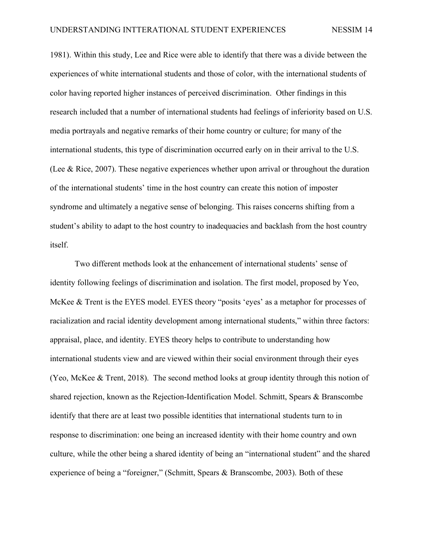1981). Within this study, Lee and Rice were able to identify that there was a divide between the experiences of white international students and those of color, with the international students of color having reported higher instances of perceived discrimination. Other findings in this research included that a number of international students had feelings of inferiority based on U.S. media portrayals and negative remarks of their home country or culture; for many of the international students, this type of discrimination occurred early on in their arrival to the U.S. (Lee & Rice, 2007). These negative experiences whether upon arrival or throughout the duration of the international students' time in the host country can create this notion of imposter syndrome and ultimately a negative sense of belonging. This raises concerns shifting from a student's ability to adapt to the host country to inadequacies and backlash from the host country itself.

Two different methods look at the enhancement of international students' sense of identity following feelings of discrimination and isolation. The first model, proposed by Yeo, McKee & Trent is the EYES model. EYES theory "posits 'eyes' as a metaphor for processes of racialization and racial identity development among international students," within three factors: appraisal, place, and identity. EYES theory helps to contribute to understanding how international students view and are viewed within their social environment through their eyes (Yeo, McKee & Trent, 2018). The second method looks at group identity through this notion of shared rejection, known as the Rejection-Identification Model. Schmitt, Spears & Branscombe identify that there are at least two possible identities that international students turn to in response to discrimination: one being an increased identity with their home country and own culture, while the other being a shared identity of being an "international student" and the shared experience of being a "foreigner," (Schmitt, Spears & Branscombe, 2003). Both of these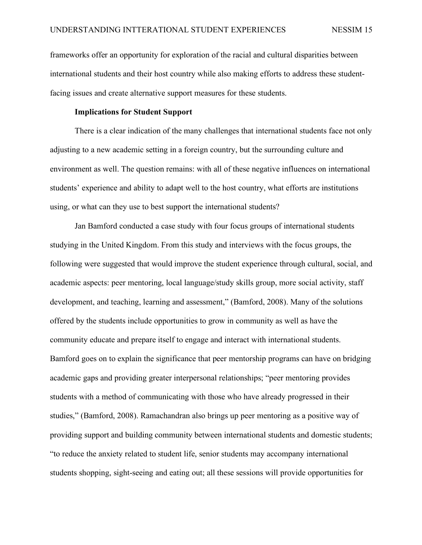frameworks offer an opportunity for exploration of the racial and cultural disparities between international students and their host country while also making efforts to address these studentfacing issues and create alternative support measures for these students.

#### **Implications for Student Support**

There is a clear indication of the many challenges that international students face not only adjusting to a new academic setting in a foreign country, but the surrounding culture and environment as well. The question remains: with all of these negative influences on international students' experience and ability to adapt well to the host country, what efforts are institutions using, or what can they use to best support the international students?

Jan Bamford conducted a case study with four focus groups of international students studying in the United Kingdom. From this study and interviews with the focus groups, the following were suggested that would improve the student experience through cultural, social, and academic aspects: peer mentoring, local language/study skills group, more social activity, staff development, and teaching, learning and assessment," (Bamford, 2008). Many of the solutions offered by the students include opportunities to grow in community as well as have the community educate and prepare itself to engage and interact with international students. Bamford goes on to explain the significance that peer mentorship programs can have on bridging academic gaps and providing greater interpersonal relationships; "peer mentoring provides students with a method of communicating with those who have already progressed in their studies," (Bamford, 2008). Ramachandran also brings up peer mentoring as a positive way of providing support and building community between international students and domestic students; "to reduce the anxiety related to student life, senior students may accompany international students shopping, sight-seeing and eating out; all these sessions will provide opportunities for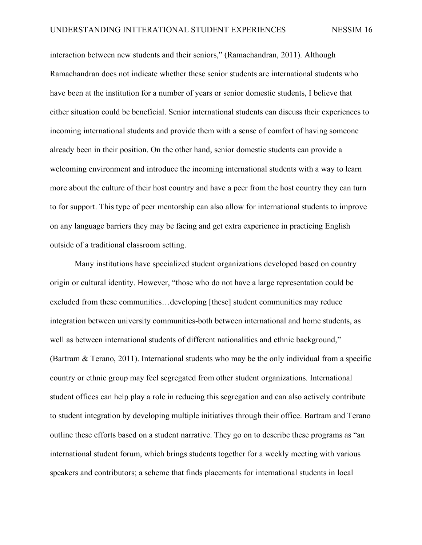interaction between new students and their seniors," (Ramachandran, 2011). Although Ramachandran does not indicate whether these senior students are international students who have been at the institution for a number of years or senior domestic students, I believe that either situation could be beneficial. Senior international students can discuss their experiences to incoming international students and provide them with a sense of comfort of having someone already been in their position. On the other hand, senior domestic students can provide a welcoming environment and introduce the incoming international students with a way to learn more about the culture of their host country and have a peer from the host country they can turn to for support. This type of peer mentorship can also allow for international students to improve on any language barriers they may be facing and get extra experience in practicing English outside of a traditional classroom setting.

Many institutions have specialized student organizations developed based on country origin or cultural identity. However, "those who do not have a large representation could be excluded from these communities…developing [these] student communities may reduce integration between university communities-both between international and home students, as well as between international students of different nationalities and ethnic background," (Bartram & Terano, 2011). International students who may be the only individual from a specific country or ethnic group may feel segregated from other student organizations. International student offices can help play a role in reducing this segregation and can also actively contribute to student integration by developing multiple initiatives through their office. Bartram and Terano outline these efforts based on a student narrative. They go on to describe these programs as "an international student forum, which brings students together for a weekly meeting with various speakers and contributors; a scheme that finds placements for international students in local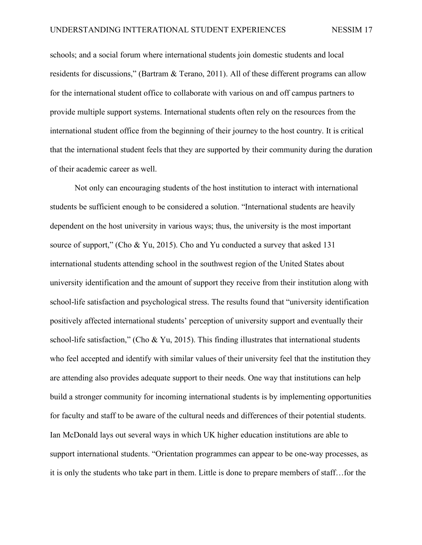schools; and a social forum where international students join domestic students and local residents for discussions," (Bartram & Terano, 2011). All of these different programs can allow for the international student office to collaborate with various on and off campus partners to provide multiple support systems. International students often rely on the resources from the international student office from the beginning of their journey to the host country. It is critical that the international student feels that they are supported by their community during the duration of their academic career as well.

Not only can encouraging students of the host institution to interact with international students be sufficient enough to be considered a solution. "International students are heavily dependent on the host university in various ways; thus, the university is the most important source of support," (Cho & Yu, 2015). Cho and Yu conducted a survey that asked 131 international students attending school in the southwest region of the United States about university identification and the amount of support they receive from their institution along with school-life satisfaction and psychological stress. The results found that "university identification positively affected international students' perception of university support and eventually their school-life satisfaction," (Cho & Yu, 2015). This finding illustrates that international students who feel accepted and identify with similar values of their university feel that the institution they are attending also provides adequate support to their needs. One way that institutions can help build a stronger community for incoming international students is by implementing opportunities for faculty and staff to be aware of the cultural needs and differences of their potential students. Ian McDonald lays out several ways in which UK higher education institutions are able to support international students. "Orientation programmes can appear to be one-way processes, as it is only the students who take part in them. Little is done to prepare members of staff…for the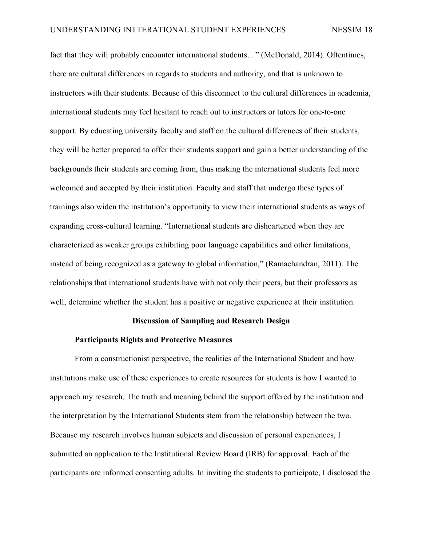fact that they will probably encounter international students..." (McDonald, 2014). Oftentimes, there are cultural differences in regards to students and authority, and that is unknown to instructors with their students. Because of this disconnect to the cultural differences in academia, international students may feel hesitant to reach out to instructors or tutors for one-to-one support. By educating university faculty and staff on the cultural differences of their students, they will be better prepared to offer their students support and gain a better understanding of the backgrounds their students are coming from, thus making the international students feel more welcomed and accepted by their institution. Faculty and staff that undergo these types of trainings also widen the institution's opportunity to view their international students as ways of expanding cross-cultural learning. "International students are disheartened when they are characterized as weaker groups exhibiting poor language capabilities and other limitations, instead of being recognized as a gateway to global information," (Ramachandran, 2011). The relationships that international students have with not only their peers, but their professors as well, determine whether the student has a positive or negative experience at their institution.

#### **Discussion of Sampling and Research Design**

#### **Participants Rights and Protective Measures**

From a constructionist perspective, the realities of the International Student and how institutions make use of these experiences to create resources for students is how I wanted to approach my research. The truth and meaning behind the support offered by the institution and the interpretation by the International Students stem from the relationship between the two. Because my research involves human subjects and discussion of personal experiences, I submitted an application to the Institutional Review Board (IRB) for approval. Each of the participants are informed consenting adults. In inviting the students to participate, I disclosed the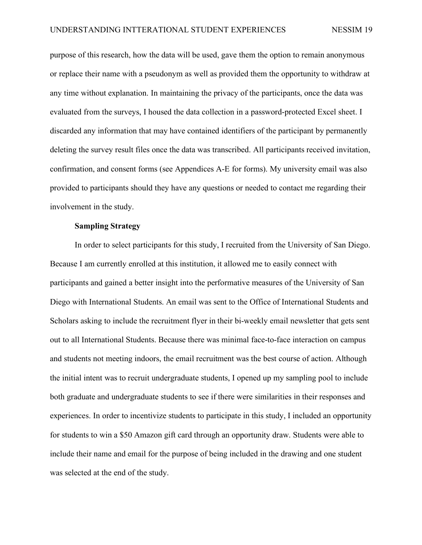purpose of this research, how the data will be used, gave them the option to remain anonymous or replace their name with a pseudonym as well as provided them the opportunity to withdraw at any time without explanation. In maintaining the privacy of the participants, once the data was evaluated from the surveys, I housed the data collection in a password-protected Excel sheet. I discarded any information that may have contained identifiers of the participant by permanently deleting the survey result files once the data was transcribed. All participants received invitation, confirmation, and consent forms (see Appendices A-E for forms). My university email was also provided to participants should they have any questions or needed to contact me regarding their involvement in the study.

#### **Sampling Strategy**

In order to select participants for this study, I recruited from the University of San Diego. Because I am currently enrolled at this institution, it allowed me to easily connect with participants and gained a better insight into the performative measures of the University of San Diego with International Students. An email was sent to the Office of International Students and Scholars asking to include the recruitment flyer in their bi-weekly email newsletter that gets sent out to all International Students. Because there was minimal face-to-face interaction on campus and students not meeting indoors, the email recruitment was the best course of action. Although the initial intent was to recruit undergraduate students, I opened up my sampling pool to include both graduate and undergraduate students to see if there were similarities in their responses and experiences. In order to incentivize students to participate in this study, I included an opportunity for students to win a \$50 Amazon gift card through an opportunity draw. Students were able to include their name and email for the purpose of being included in the drawing and one student was selected at the end of the study.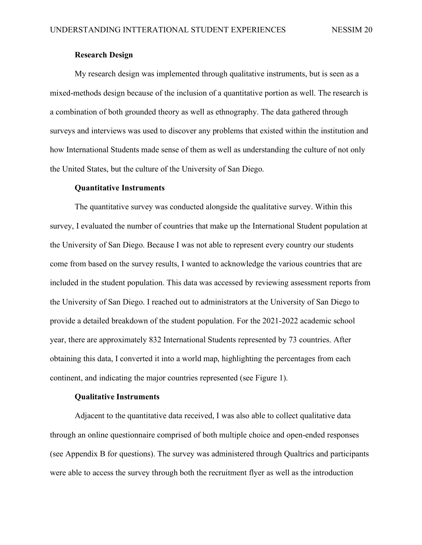#### **Research Design**

My research design was implemented through qualitative instruments, but is seen as a mixed-methods design because of the inclusion of a quantitative portion as well. The research is a combination of both grounded theory as well as ethnography. The data gathered through surveys and interviews was used to discover any problems that existed within the institution and how International Students made sense of them as well as understanding the culture of not only the United States, but the culture of the University of San Diego.

#### **Quantitative Instruments**

The quantitative survey was conducted alongside the qualitative survey. Within this survey, I evaluated the number of countries that make up the International Student population at the University of San Diego. Because I was not able to represent every country our students come from based on the survey results, I wanted to acknowledge the various countries that are included in the student population. This data was accessed by reviewing assessment reports from the University of San Diego. I reached out to administrators at the University of San Diego to provide a detailed breakdown of the student population. For the 2021-2022 academic school year, there are approximately 832 International Students represented by 73 countries. After obtaining this data, I converted it into a world map, highlighting the percentages from each continent, and indicating the major countries represented (see Figure 1).

#### **Qualitative Instruments**

Adjacent to the quantitative data received, I was also able to collect qualitative data through an online questionnaire comprised of both multiple choice and open-ended responses (see Appendix B for questions). The survey was administered through Qualtrics and participants were able to access the survey through both the recruitment flyer as well as the introduction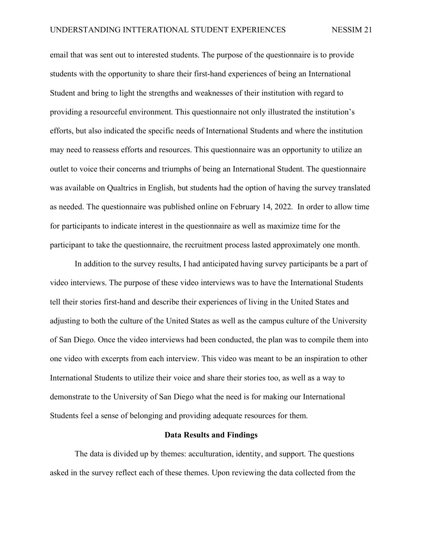email that was sent out to interested students. The purpose of the questionnaire is to provide students with the opportunity to share their first-hand experiences of being an International Student and bring to light the strengths and weaknesses of their institution with regard to providing a resourceful environment. This questionnaire not only illustrated the institution's efforts, but also indicated the specific needs of International Students and where the institution may need to reassess efforts and resources. This questionnaire was an opportunity to utilize an outlet to voice their concerns and triumphs of being an International Student. The questionnaire was available on Qualtrics in English, but students had the option of having the survey translated as needed. The questionnaire was published online on February 14, 2022. In order to allow time for participants to indicate interest in the questionnaire as well as maximize time for the participant to take the questionnaire, the recruitment process lasted approximately one month.

In addition to the survey results, I had anticipated having survey participants be a part of video interviews. The purpose of these video interviews was to have the International Students tell their stories first-hand and describe their experiences of living in the United States and adjusting to both the culture of the United States as well as the campus culture of the University of San Diego. Once the video interviews had been conducted, the plan was to compile them into one video with excerpts from each interview. This video was meant to be an inspiration to other International Students to utilize their voice and share their stories too, as well as a way to demonstrate to the University of San Diego what the need is for making our International Students feel a sense of belonging and providing adequate resources for them.

#### **Data Results and Findings**

The data is divided up by themes: acculturation, identity, and support. The questions asked in the survey reflect each of these themes. Upon reviewing the data collected from the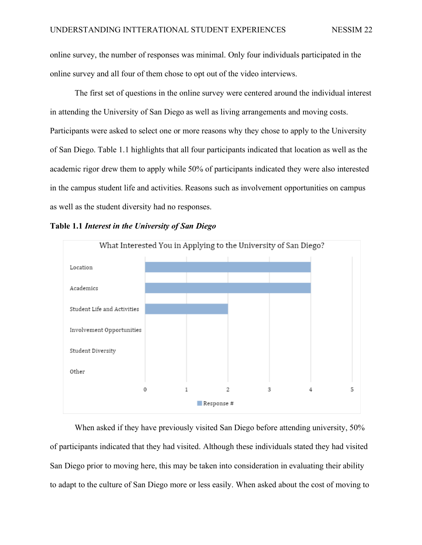online survey, the number of responses was minimal. Only four individuals participated in the online survey and all four of them chose to opt out of the video interviews.

The first set of questions in the online survey were centered around the individual interest in attending the University of San Diego as well as living arrangements and moving costs. Participants were asked to select one or more reasons why they chose to apply to the University of San Diego. Table 1.1 highlights that all four participants indicated that location as well as the academic rigor drew them to apply while 50% of participants indicated they were also interested in the campus student life and activities. Reasons such as involvement opportunities on campus as well as the student diversity had no responses.





When asked if they have previously visited San Diego before attending university, 50% of participants indicated that they had visited. Although these individuals stated they had visited San Diego prior to moving here, this may be taken into consideration in evaluating their ability to adapt to the culture of San Diego more or less easily. When asked about the cost of moving to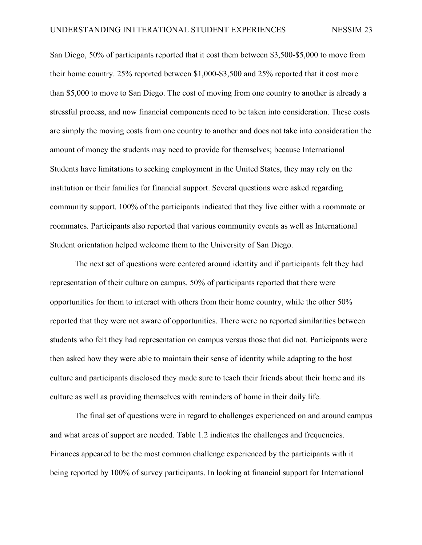San Diego, 50% of participants reported that it cost them between \$3,500-\$5,000 to move from their home country. 25% reported between \$1,000-\$3,500 and 25% reported that it cost more than \$5,000 to move to San Diego. The cost of moving from one country to another is already a stressful process, and now financial components need to be taken into consideration. These costs are simply the moving costs from one country to another and does not take into consideration the amount of money the students may need to provide for themselves; because International Students have limitations to seeking employment in the United States, they may rely on the institution or their families for financial support. Several questions were asked regarding community support. 100% of the participants indicated that they live either with a roommate or roommates. Participants also reported that various community events as well as International Student orientation helped welcome them to the University of San Diego.

The next set of questions were centered around identity and if participants felt they had representation of their culture on campus. 50% of participants reported that there were opportunities for them to interact with others from their home country, while the other 50% reported that they were not aware of opportunities. There were no reported similarities between students who felt they had representation on campus versus those that did not. Participants were then asked how they were able to maintain their sense of identity while adapting to the host culture and participants disclosed they made sure to teach their friends about their home and its culture as well as providing themselves with reminders of home in their daily life.

The final set of questions were in regard to challenges experienced on and around campus and what areas of support are needed. Table 1.2 indicates the challenges and frequencies. Finances appeared to be the most common challenge experienced by the participants with it being reported by 100% of survey participants. In looking at financial support for International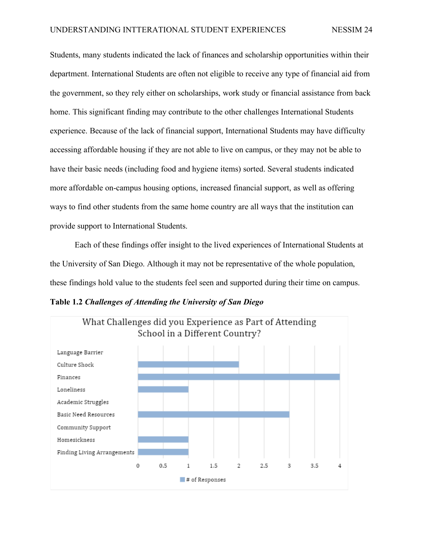Students, many students indicated the lack of finances and scholarship opportunities within their department. International Students are often not eligible to receive any type of financial aid from the government, so they rely either on scholarships, work study or financial assistance from back home. This significant finding may contribute to the other challenges International Students experience. Because of the lack of financial support, International Students may have difficulty accessing affordable housing if they are not able to live on campus, or they may not be able to have their basic needs (including food and hygiene items) sorted. Several students indicated more affordable on-campus housing options, increased financial support, as well as offering ways to find other students from the same home country are all ways that the institution can provide support to International Students.

Each of these findings offer insight to the lived experiences of International Students at the University of San Diego. Although it may not be representative of the whole population, these findings hold value to the students feel seen and supported during their time on campus.

**Table 1.2** *Challenges of Attending the University of San Diego*

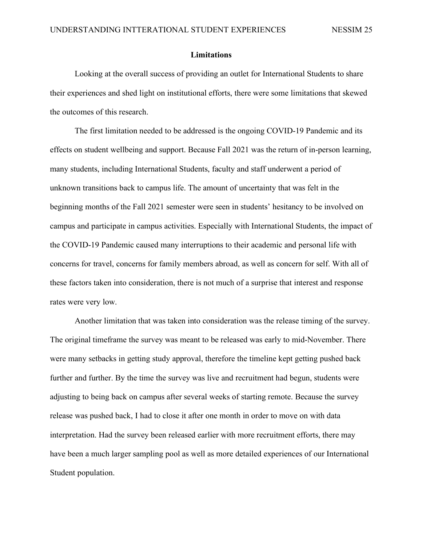#### **Limitations**

Looking at the overall success of providing an outlet for International Students to share their experiences and shed light on institutional efforts, there were some limitations that skewed the outcomes of this research.

The first limitation needed to be addressed is the ongoing COVID-19 Pandemic and its effects on student wellbeing and support. Because Fall 2021 was the return of in-person learning, many students, including International Students, faculty and staff underwent a period of unknown transitions back to campus life. The amount of uncertainty that was felt in the beginning months of the Fall 2021 semester were seen in students' hesitancy to be involved on campus and participate in campus activities. Especially with International Students, the impact of the COVID-19 Pandemic caused many interruptions to their academic and personal life with concerns for travel, concerns for family members abroad, as well as concern for self. With all of these factors taken into consideration, there is not much of a surprise that interest and response rates were very low.

Another limitation that was taken into consideration was the release timing of the survey. The original timeframe the survey was meant to be released was early to mid-November. There were many setbacks in getting study approval, therefore the timeline kept getting pushed back further and further. By the time the survey was live and recruitment had begun, students were adjusting to being back on campus after several weeks of starting remote. Because the survey release was pushed back, I had to close it after one month in order to move on with data interpretation. Had the survey been released earlier with more recruitment efforts, there may have been a much larger sampling pool as well as more detailed experiences of our International Student population.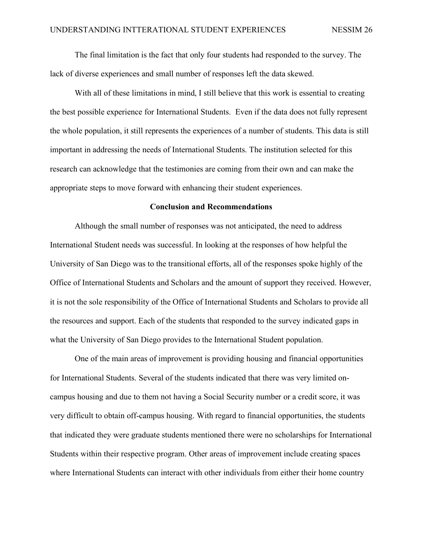The final limitation is the fact that only four students had responded to the survey. The lack of diverse experiences and small number of responses left the data skewed.

With all of these limitations in mind, I still believe that this work is essential to creating the best possible experience for International Students. Even if the data does not fully represent the whole population, it still represents the experiences of a number of students. This data is still important in addressing the needs of International Students. The institution selected for this research can acknowledge that the testimonies are coming from their own and can make the appropriate steps to move forward with enhancing their student experiences.

#### **Conclusion and Recommendations**

Although the small number of responses was not anticipated, the need to address International Student needs was successful. In looking at the responses of how helpful the University of San Diego was to the transitional efforts, all of the responses spoke highly of the Office of International Students and Scholars and the amount of support they received. However, it is not the sole responsibility of the Office of International Students and Scholars to provide all the resources and support. Each of the students that responded to the survey indicated gaps in what the University of San Diego provides to the International Student population.

One of the main areas of improvement is providing housing and financial opportunities for International Students. Several of the students indicated that there was very limited oncampus housing and due to them not having a Social Security number or a credit score, it was very difficult to obtain off-campus housing. With regard to financial opportunities, the students that indicated they were graduate students mentioned there were no scholarships for International Students within their respective program. Other areas of improvement include creating spaces where International Students can interact with other individuals from either their home country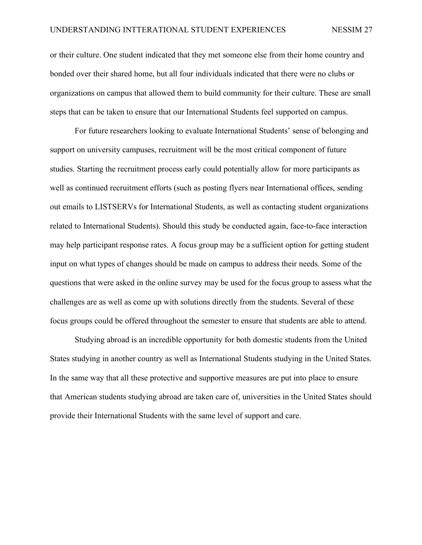or their culture. One student indicated that they met someone else from their home country and bonded over their shared home, but all four individuals indicated that there were no clubs or organizations on campus that allowed them to build community for their culture. These are small steps that can be taken to ensure that our International Students feel supported on campus.

For future researchers looking to evaluate International Students' sense of belonging and support on university campuses, recruitment will be the most critical component of future studies. Starting the recruitment process early could potentially allow for more participants as well as continued recruitment efforts (such as posting flyers near International offices, sending out emails to LISTSERVs for International Students, as well as contacting student organizations related to International Students). Should this study be conducted again, face-to-face interaction may help participant response rates. A focus group may be a sufficient option for getting student input on what types of changes should be made on campus to address their needs. Some of the questions that were asked in the online survey may be used for the focus group to assess what the challenges are as well as come up with solutions directly from the students. Several of these focus groups could be offered throughout the semester to ensure that students are able to attend.

Studying abroad is an incredible opportunity for both domestic students from the United States studying in another country as well as International Students studying in the United States. In the same way that all these protective and supportive measures are put into place to ensure that American students studying abroad are taken care of, universities in the United States should provide their International Students with the same level of support and care.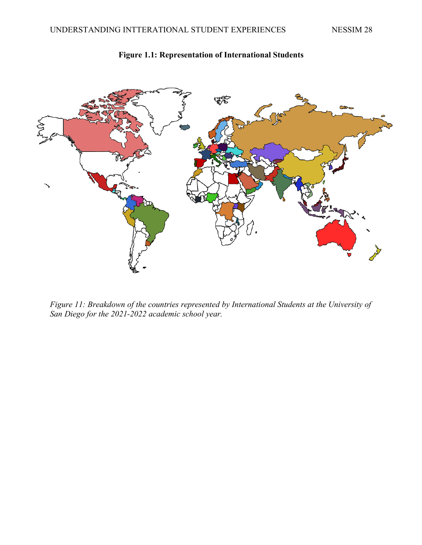

# **Figure 1.1: Representation of International Students**

*Figure 11: Breakdown of the countries represented by International Students at the University of San Diego for the 2021-2022 academic school year.*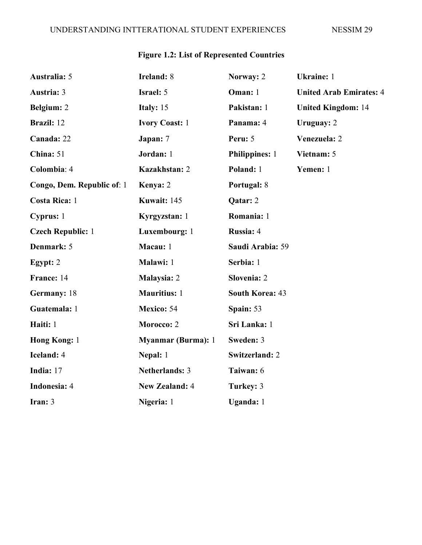# **Figure 1.2: List of Represented Countries**

| <b>Australia: 5</b>        | <b>Ireland: 8</b>         | Norway: 2              | <b>Ukraine: 1</b>              |
|----------------------------|---------------------------|------------------------|--------------------------------|
| Austria: 3                 | <b>Israel:</b> 5          | Oman: 1                | <b>United Arab Emirates: 4</b> |
| Belgium: 2                 | Italy: 15                 | Pakistan: 1            | <b>United Kingdom: 14</b>      |
| Brazil: 12                 | <b>Ivory Coast: 1</b>     | Panama: 4              | Uruguay: 2                     |
| Canada: 22                 | Japan: 7                  | Peru: 5                | Venezuela: 2                   |
| China: 51                  | Jordan: 1                 | <b>Philippines:</b> 1  | Vietnam: 5                     |
| Colombia: 4                | Kazakhstan: 2             | Poland: 1              | Yemen: 1                       |
| Congo, Dem. Republic of: 1 | Kenya: 2                  | Portugal: 8            |                                |
| <b>Costa Rica: 1</b>       | Kuwait: 145               | Qatar: 2               |                                |
| Cyprus: 1                  | Kyrgyzstan: 1             | Romania: 1             |                                |
| <b>Czech Republic: 1</b>   | Luxembourg: 1             | Russia: 4              |                                |
| Denmark: 5                 | Macau: 1                  | Saudi Arabia: 59       |                                |
| Egypt: $2$                 | Malawi: 1                 | Serbia: 1              |                                |
| France: 14                 | <b>Malaysia: 2</b>        | Slovenia: 2            |                                |
| Germany: 18                | <b>Mauritius: 1</b>       | <b>South Korea: 43</b> |                                |
| Guatemala: 1               | <b>Mexico: 54</b>         | Spain: 53              |                                |
| Haiti: 1                   | Morocco: 2                | Sri Lanka: 1           |                                |
| Hong Kong: 1               | <b>Myanmar (Burma):</b> 1 | Sweden: 3              |                                |
| <b>Iceland: 4</b>          | Nepal: 1                  | <b>Switzerland: 2</b>  |                                |
| India: 17                  | <b>Netherlands: 3</b>     | Taiwan: 6              |                                |
| Indonesia: 4               | <b>New Zealand: 4</b>     | Turkey: 3              |                                |
| Iran: 3                    | Nigeria: 1                | <b>Uganda</b> : 1      |                                |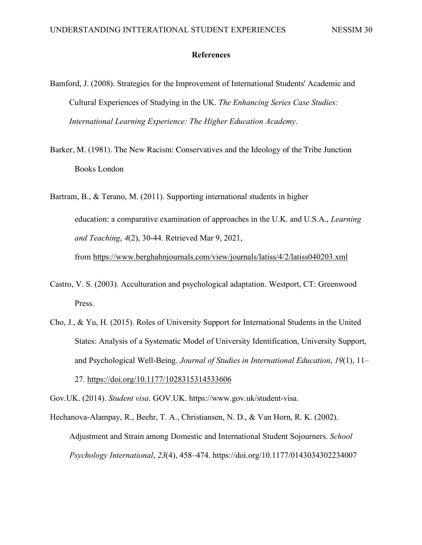#### **References**

- Bamford, J. (2008). Strategies for the Improvement of International Students' Academic and Cultural Experiences of Studying in the UK. *The Enhancing Series Case Studies: International Learning Experience: The Higher Education Academy*.
- Barker, M. (1981). The New Racism: Conservatives and the Ideology of the Tribe Junction Books London
- Bartram, B., & Terano, M. (2011). Supporting international students in higher education: a comparative examination of approaches in the U.K. and U.S.A., *Learning and Teaching*, *4*(2), 30-44. Retrieved Mar 9, 2021, from https://www.berghahnjournals.com/view/journals/latiss/4/2/latiss040203.xml
- Castro, V. S. (2003). Acculturation and psychological adaptation. Westport, CT: Greenwood Press.
- Cho, J., & Yu, H. (2015). Roles of University Support for International Students in the United States: Analysis of a Systematic Model of University Identification, University Support, and Psychological Well-Being. *Journal of Studies in International Education*, *19*(1), 11– 27. https://doi.org/10.1177/1028315314533606

Gov.UK. (2014). *Student visa*. GOV.UK. https://www.gov.uk/student-visa.

Hechanova-Alampay, R., Beehr, T. A., Christiansen, N. D., & Van Horn, R. K. (2002). Adjustment and Strain among Domestic and International Student Sojourners. *School Psychology International*, *23*(4), 458–474. https://doi.org/10.1177/0143034302234007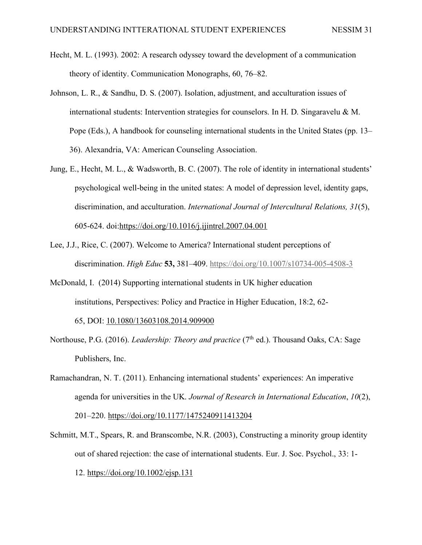- Hecht, M. L. (1993). 2002: A research odyssey toward the development of a communication theory of identity. Communication Monographs, 60, 76–82.
- Johnson, L. R., & Sandhu, D. S. (2007). Isolation, adjustment, and acculturation issues of international students: Intervention strategies for counselors. In H. D. Singaravelu & M. Pope (Eds.), A handbook for counseling international students in the United States (pp. 13– 36). Alexandria, VA: American Counseling Association.
- Jung, E., Hecht, M. L., & Wadsworth, B. C. (2007). The role of identity in international students' psychological well-being in the united states: A model of depression level, identity gaps, discrimination, and acculturation. *International Journal of Intercultural Relations, 31*(5), 605-624. doi:https://doi.org/10.1016/j.ijintrel.2007.04.001
- Lee, J.J., Rice, C. (2007). Welcome to America? International student perceptions of discrimination. *High Educ* **53,** 381–409. https://doi.org/10.1007/s10734-005-4508-3
- McDonald, I. (2014) Supporting international students in UK higher education institutions, Perspectives: Policy and Practice in Higher Education, 18:2, 62- 65, DOI: 10.1080/13603108.2014.909900
- Northouse, P.G. (2016). *Leadership: Theory and practice* (7<sup>th</sup> ed.). Thousand Oaks, CA: Sage Publishers, Inc.
- Ramachandran, N. T. (2011). Enhancing international students' experiences: An imperative agenda for universities in the UK. *Journal of Research in International Education*, *10*(2), 201–220. https://doi.org/10.1177/1475240911413204
- Schmitt, M.T., Spears, R. and Branscombe, N.R. (2003), Constructing a minority group identity out of shared rejection: the case of international students. Eur. J. Soc. Psychol., 33: 1- 12. https://doi.org/10.1002/ejsp.131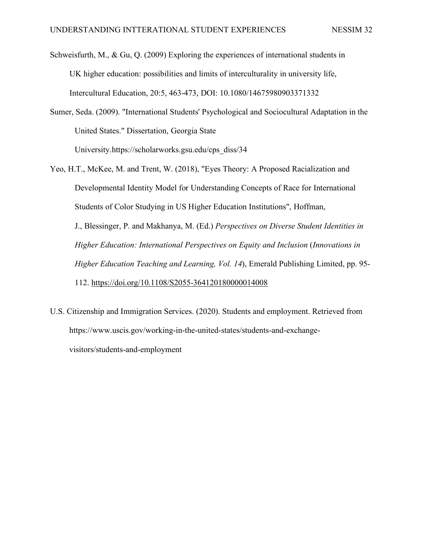Schweisfurth, M., & Gu, Q. (2009) Exploring the experiences of international students in UK higher education: possibilities and limits of interculturality in university life, Intercultural Education, 20:5, 463-473, DOI: 10.1080/14675980903371332

- Sumer, Seda. (2009). "International Students' Psychological and Sociocultural Adaptation in the United States." Dissertation, Georgia State University.https://scholarworks.gsu.edu/cps\_diss/34
- Yeo, H.T., McKee, M. and Trent, W. (2018), "Eyes Theory: A Proposed Racialization and Developmental Identity Model for Understanding Concepts of Race for International Students of Color Studying in US Higher Education Institutions", Hoffman, J., Blessinger, P. and Makhanya, M. (Ed.) *Perspectives on Diverse Student Identities in Higher Education: International Perspectives on Equity and Inclusion* (*Innovations in Higher Education Teaching and Learning, Vol. 14*), Emerald Publishing Limited, pp. 95- 112. https://doi.org/10.1108/S2055-364120180000014008
- U.S. Citizenship and Immigration Services. (2020). Students and employment. Retrieved from https://www.uscis.gov/working-in-the-united-states/students-and-exchangevisitors/students-and-employment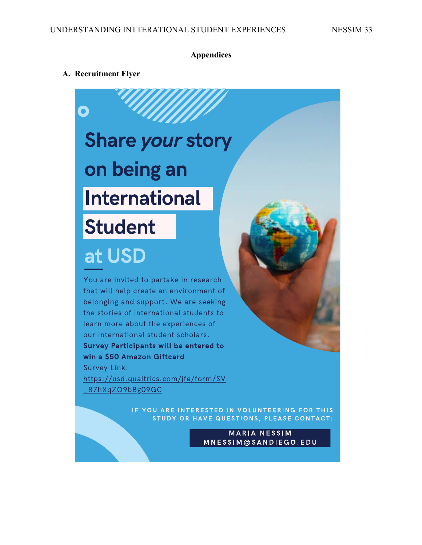#### **Appendices**

**A. Recruitment Flyer**

# **Share your story** on being an **International Student**

# at USD

You are invited to partake in research that will help create an environment of belonging and support. We are seeking the stories of international students to learn more about the experiences of our international student scholars. **Survey Participants will be entered to** win a \$50 Amazon Giftcard Survey Link: https://usd.qualtrics.com/jfe/form/SV \_87hXqZO9bBg09GC

> IF YOU ARE INTERESTED IN VOLUNTEERING FOR THIS STUDY OR HAVE QUESTIONS, PLEASE CONTACT:

> > **MARIA NESSIM** MNESSIM@SANDIEGO.EDU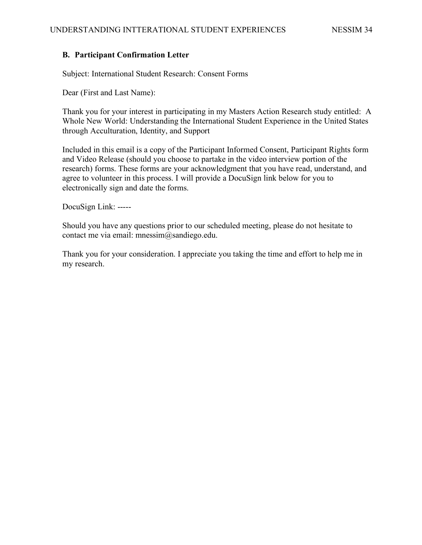#### **B. Participant Confirmation Letter**

Subject: International Student Research: Consent Forms

Dear (First and Last Name):

Thank you for your interest in participating in my Masters Action Research study entitled: A Whole New World: Understanding the International Student Experience in the United States through Acculturation, Identity, and Support

Included in this email is a copy of the Participant Informed Consent, Participant Rights form and Video Release (should you choose to partake in the video interview portion of the research) forms. These forms are your acknowledgment that you have read, understand, and agree to volunteer in this process. I will provide a DocuSign link below for you to electronically sign and date the forms.

DocuSign Link: -----

Should you have any questions prior to our scheduled meeting, please do not hesitate to contact me via email: mnessim@sandiego.edu.

Thank you for your consideration. I appreciate you taking the time and effort to help me in my research.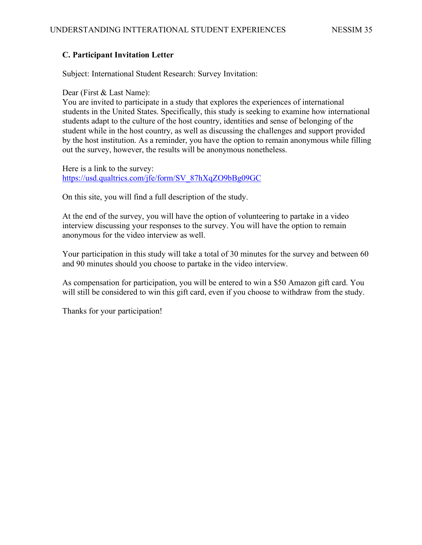#### **C. Participant Invitation Letter**

Subject: International Student Research: Survey Invitation:

Dear (First & Last Name):

You are invited to participate in a study that explores the experiences of international students in the United States. Specifically, this study is seeking to examine how international students adapt to the culture of the host country, identities and sense of belonging of the student while in the host country, as well as discussing the challenges and support provided by the host institution. As a reminder, you have the option to remain anonymous while filling out the survey, however, the results will be anonymous nonetheless.

Here is a link to the survey: https://usd.qualtrics.com/jfe/form/SV\_87hXqZO9bBg09GC

On this site, you will find a full description of the study.

At the end of the survey, you will have the option of volunteering to partake in a video interview discussing your responses to the survey. You will have the option to remain anonymous for the video interview as well.

Your participation in this study will take a total of 30 minutes for the survey and between 60 and 90 minutes should you choose to partake in the video interview.

As compensation for participation, you will be entered to win a \$50 Amazon gift card. You will still be considered to win this gift card, even if you choose to withdraw from the study.

Thanks for your participation!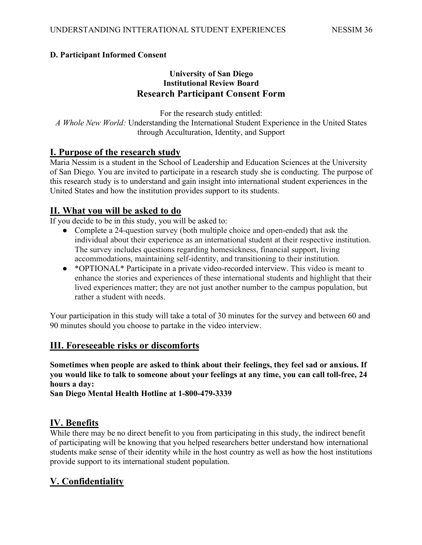### **D. Participant Informed Consent**

### **University of San Diego Institutional Review Board Research Participant Consent Form**

For the research study entitled: *A Whole New World:* Understanding the International Student Experience in the United States through Acculturation, Identity, and Support

## **I. Purpose of the research study**

Maria Nessim is a student in the School of Leadership and Education Sciences at the University of San Diego. You are invited to participate in a research study she is conducting. The purpose of this research study is to understand and gain insight into international student experiences in the United States and how the institution provides support to its students.

# **II. What you will be asked to do**

If you decide to be in this study, you will be asked to:

- Complete a 24-question survey (both multiple choice and open-ended) that ask the individual about their experience as an international student at their respective institution. The survey includes questions regarding homesickness, financial support, living accommodations, maintaining self-identity, and transitioning to their institution.
- \*OPTIONAL\* Participate in a private video-recorded interview. This video is meant to enhance the stories and experiences of these international students and highlight that their lived experiences matter; they are not just another number to the campus population, but rather a student with needs.

Your participation in this study will take a total of 30 minutes for the survey and between 60 and 90 minutes should you choose to partake in the video interview.

## **III. Foreseeable risks or discomforts**

**Sometimes when people are asked to think about their feelings, they feel sad or anxious. If you would like to talk to someone about your feelings at any time, you can call toll-free, 24 hours a day:**

**San Diego Mental Health Hotline at 1-800-479-3339**

# **IV. Benefits**

While there may be no direct benefit to you from participating in this study, the indirect benefit of participating will be knowing that you helped researchers better understand how international students make sense of their identity while in the host country as well as how the host institutions provide support to its international student population.

# **V. Confidentiality**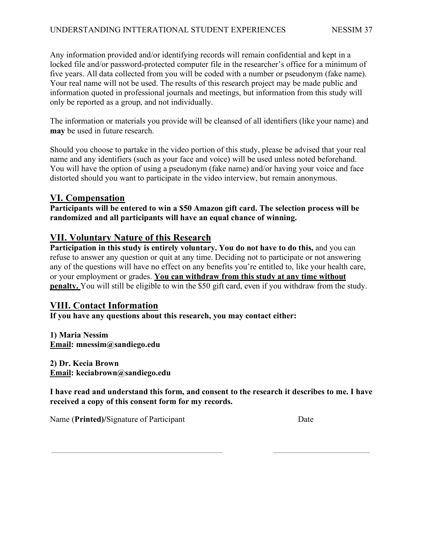Any information provided and/or identifying records will remain confidential and kept in a locked file and/or password-protected computer file in the researcher's office for a minimum of five years. All data collected from you will be coded with a number or pseudonym (fake name). Your real name will not be used. The results of this research project may be made public and information quoted in professional journals and meetings, but information from this study will only be reported as a group, and not individually.

The information or materials you provide will be cleansed of all identifiers (like your name) and **may** be used in future research.

Should you choose to partake in the video portion of this study, please be advised that your real name and any identifiers (such as your face and voice) will be used unless noted beforehand. You will have the option of using a pseudonym (fake name) and/or having your voice and face distorted should you want to participate in the video interview, but remain anonymous.

## **VI. Compensation**

**Participants will be entered to win a \$50 Amazon gift card. The selection process will be randomized and all participants will have an equal chance of winning.**

# **VII. Voluntary Nature of this Research**

Participation in this study is entirely voluntary. You do not have to do this, and you can refuse to answer any question or quit at any time. Deciding not to participate or not answering any of the questions will have no effect on any benefits you're entitled to, like your health care, or your employment or grades. **You can withdraw from this study at any time without penalty.** You will still be eligible to win the \$50 gift card, even if you withdraw from the study.

## **VIII. Contact Information**

**If you have any questions about this research, you may contact either:**

**1) Maria Nessim Email: mnessim@sandiego.edu**

**2) Dr. Kecia Brown Email: keciabrown@sandiego.edu**

**I have read and understand this form, and consent to the research it describes to me. I have received a copy of this consent form for my records.**

 $\_$  , and the state of the state of the state of the state of the state of the state of the state of the state of the state of the state of the state of the state of the state of the state of the state of the state of the

Name (**Printed**)/Signature of Participant Date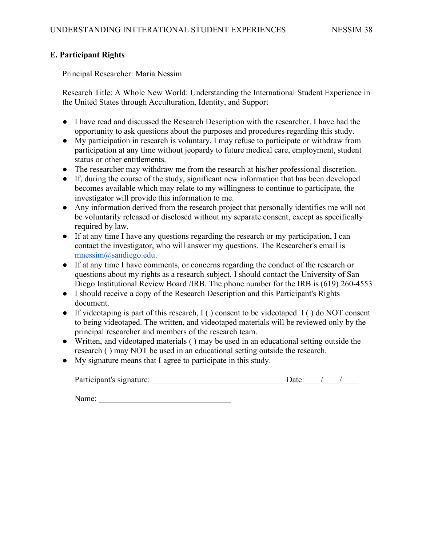#### **E. Participant Rights**

Principal Researcher: Maria Nessim

Research Title: A Whole New World: Understanding the International Student Experience in the United States through Acculturation, Identity, and Support

- I have read and discussed the Research Description with the researcher. I have had the opportunity to ask questions about the purposes and procedures regarding this study.
- My participation in research is voluntary. I may refuse to participate or withdraw from participation at any time without jeopardy to future medical care, employment, student status or other entitlements.
- The researcher may withdraw me from the research at his/her professional discretion.
- If, during the course of the study, significant new information that has been developed becomes available which may relate to my willingness to continue to participate, the investigator will provide this information to me.
- Any information derived from the research project that personally identifies me will not be voluntarily released or disclosed without my separate consent, except as specifically required by law.
- If at any time I have any questions regarding the research or my participation, I can contact the investigator, who will answer my questions. The Researcher's email is mnessim@sandiego.edu.
- If at any time I have comments, or concerns regarding the conduct of the research or questions about my rights as a research subject, I should contact the University of San Diego Institutional Review Board /IRB. The phone number for the IRB is (619) 260-4553
- I should receive a copy of the Research Description and this Participant's Rights document.
- If videotaping is part of this research, I ( ) consent to be videotaped. I ( ) do NOT consent to being videotaped. The written, and videotaped materials will be reviewed only by the principal researcher and members of the research team.
- Written, and videotaped materials ( ) may be used in an educational setting outside the research ( ) may NOT be used in an educational setting outside the research.
- My signature means that I agree to participate in this study.

| Participant's signature: |  |  |
|--------------------------|--|--|
|                          |  |  |

Name: \_\_\_\_\_\_\_\_\_\_\_\_\_\_\_\_\_\_\_\_\_\_\_\_\_\_\_\_\_\_\_\_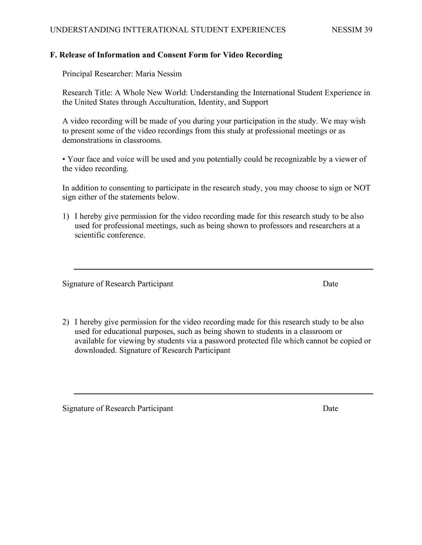#### **F. Release of Information and Consent Form for Video Recording**

Principal Researcher: Maria Nessim

Research Title: A Whole New World: Understanding the International Student Experience in the United States through Acculturation, Identity, and Support

A video recording will be made of you during your participation in the study. We may wish to present some of the video recordings from this study at professional meetings or as demonstrations in classrooms.

• Your face and voice will be used and you potentially could be recognizable by a viewer of the video recording.

In addition to consenting to participate in the research study, you may choose to sign or NOT sign either of the statements below.

1) I hereby give permission for the video recording made for this research study to be also used for professional meetings, such as being shown to professors and researchers at a scientific conference.

Signature of Research Participant Date

2) I hereby give permission for the video recording made for this research study to be also used for educational purposes, such as being shown to students in a classroom or available for viewing by students via a password protected file which cannot be copied or downloaded. Signature of Research Participant

Signature of Research Participant Date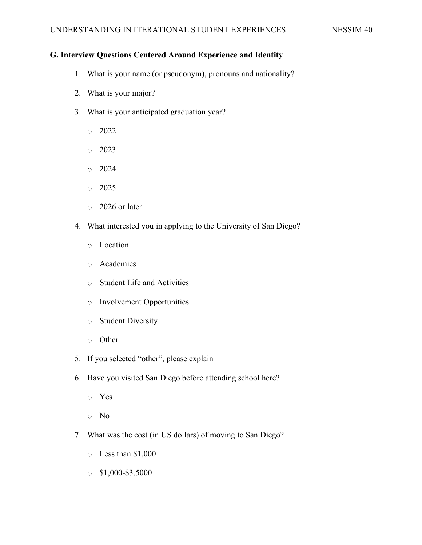# **G. Interview Questions Centered Around Experience and Identity**

- 1. What is your name (or pseudonym), pronouns and nationality?
- 2. What is your major?
- 3. What is your anticipated graduation year?
	- o 2022
	- o 2023
	- o 2024
	- o 2025
	- o 2026 or later
- 4. What interested you in applying to the University of San Diego?
	- o Location
	- o Academics
	- o Student Life and Activities
	- o Involvement Opportunities
	- o Student Diversity
	- o Other
- 5. If you selected "other", please explain
- 6. Have you visited San Diego before attending school here?
	- o Yes
	- o No
- 7. What was the cost (in US dollars) of moving to San Diego?
	- o Less than \$1,000
	- $\circ$  \$1,000-\$3,5000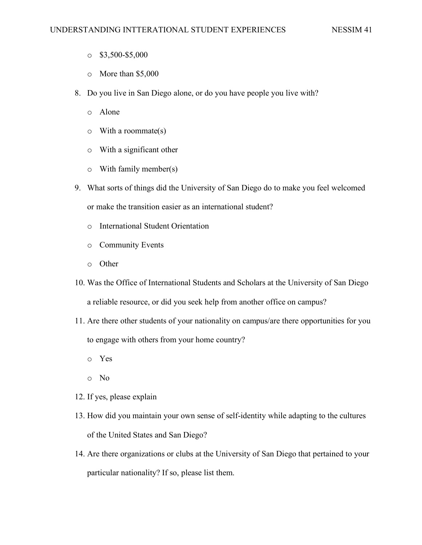- $\circ$  \$3,500-\$5,000
- o More than \$5,000
- 8. Do you live in San Diego alone, or do you have people you live with?
	- o Alone
	- o With a roommate(s)
	- o With a significant other
	- $\circ$  With family member(s)
- 9. What sorts of things did the University of San Diego do to make you feel welcomed
	- or make the transition easier as an international student?
	- o International Student Orientation
	- o Community Events
	- o Other
- 10. Was the Office of International Students and Scholars at the University of San Diego a reliable resource, or did you seek help from another office on campus?
- 11. Are there other students of your nationality on campus/are there opportunities for you to engage with others from your home country?
	- o Yes
	- o No
- 12. If yes, please explain
- 13. How did you maintain your own sense of self-identity while adapting to the cultures of the United States and San Diego?
- 14. Are there organizations or clubs at the University of San Diego that pertained to your particular nationality? If so, please list them.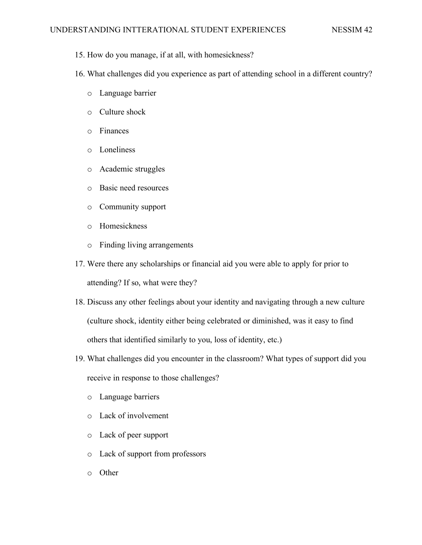- 15. How do you manage, if at all, with homesickness?
- 16. What challenges did you experience as part of attending school in a different country?
	- o Language barrier
	- o Culture shock
	- o Finances
	- o Loneliness
	- o Academic struggles
	- o Basic need resources
	- o Community support
	- o Homesickness
	- o Finding living arrangements
- 17. Were there any scholarships or financial aid you were able to apply for prior to attending? If so, what were they?
- 18. Discuss any other feelings about your identity and navigating through a new culture (culture shock, identity either being celebrated or diminished, was it easy to find others that identified similarly to you, loss of identity, etc.)
- 19. What challenges did you encounter in the classroom? What types of support did you receive in response to those challenges?
	- o Language barriers
	- o Lack of involvement
	- o Lack of peer support
	- o Lack of support from professors
	- o Other